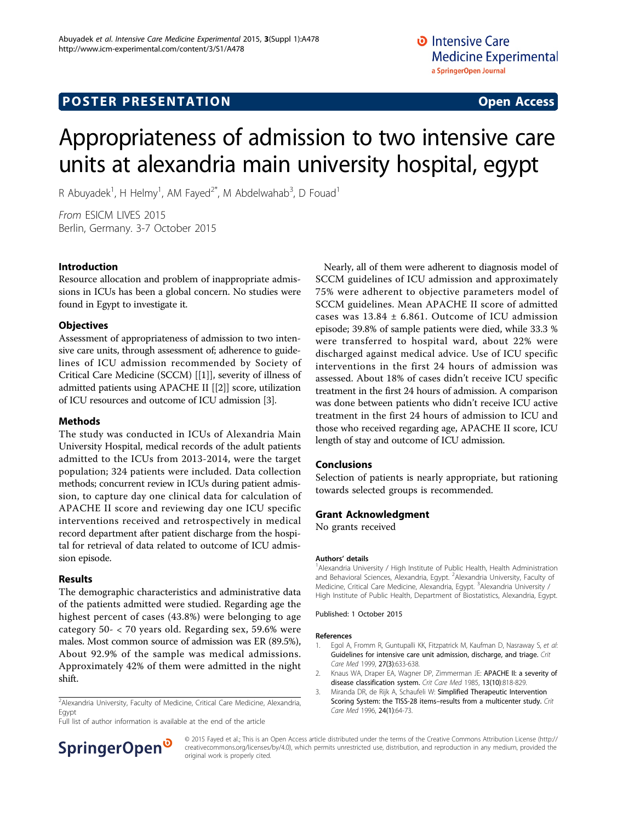# Appropriateness of admission to two intensive care units at alexandria main university hospital, egypt

R Abuyadek<sup>1</sup>, H Helmy<sup>1</sup>, AM Fayed<sup>2\*</sup>, M Abdelwahab<sup>3</sup>, D Fouad<sup>1</sup>

From ESICM LIVES 2015 Berlin, Germany. 3-7 October 2015

## Introduction

Resource allocation and problem of inappropriate admissions in ICUs has been a global concern. No studies were found in Egypt to investigate it.

#### **Objectives**

Assessment of appropriateness of admission to two intensive care units, through assessment of; adherence to guidelines of ICU admission recommended by Society of Critical Care Medicine (SCCM) [[1]], severity of illness of admitted patients using APACHE II [[2]] score, utilization of ICU resources and outcome of ICU admission [3].

## Methods

The study was conducted in ICUs of Alexandria Main University Hospital, medical records of the adult patients admitted to the ICUs from 2013-2014, were the target population; 324 patients were included. Data collection methods; concurrent review in ICUs during patient admission, to capture day one clinical data for calculation of APACHE II score and reviewing day one ICU specific interventions received and retrospectively in medical record department after patient discharge from the hospital for retrieval of data related to outcome of ICU admission episode.

#### Results

The demographic characteristics and administrative data of the patients admitted were studied. Regarding age the highest percent of cases (43.8%) were belonging to age category 50- < 70 years old. Regarding sex, 59.6% were males. Most common source of admission was ER (89.5%), About 92.9% of the sample was medical admissions. Approximately 42% of them were admitted in the night shift.

<sup>2</sup> Alexandria University, Faculty of Medicine, Critical Care Medicine, Alexandria, Egypt

Full list of author information is available at the end of the article



#### Conclusions

Selection of patients is nearly appropriate, but rationing towards selected groups is recommended.

#### Grant Acknowledgment

No grants received

#### Authors' details <sup>1</sup>

<sup>1</sup> Alexandria University / High Institute of Public Health, Health Administration and Behavioral Sciences, Alexandria, Egypt. <sup>2</sup>Alexandria University, Faculty of Medicine, Critical Care Medicine, Alexandria, Egypt. <sup>3</sup>Alexandria University / High Institute of Public Health, Department of Biostatistics, Alexandria, Egypt.

Published: 1 October 2015

#### References

- 1. Egol A, Fromm R, Guntupalli KK, Fitzpatrick M, Kaufman D, Nasraway S, et al: [Guidelines for intensive care unit admission, discharge, and triage.](http://www.ncbi.nlm.nih.gov/pubmed/10199547?dopt=Abstract) Crit Care Med 1999, 27(3):633-638.
- 2. Knaus WA, Draper EA, Wagner DP, Zimmerman JE: [APACHE II: a severity of](http://www.ncbi.nlm.nih.gov/pubmed/3928249?dopt=Abstract) [disease classification system.](http://www.ncbi.nlm.nih.gov/pubmed/3928249?dopt=Abstract) Crit Care Med 1985, 13(10):818-829.
- 3. Miranda DR, de Rijk A, Schaufeli W: [Simplified Therapeutic Intervention](http://www.ncbi.nlm.nih.gov/pubmed/8565541?dopt=Abstract) [Scoring System: the TISS-28 items](http://www.ncbi.nlm.nih.gov/pubmed/8565541?dopt=Abstract)–results from a multicenter study. Crit Care Med 1996, 24(1):64-73.



© 2015 Fayed et al.; This is an Open Access article distributed under the terms of the Creative Commons Attribution License [\(http://](http://creativecommons.org/licenses/by/4.0) [creativecommons.org/licenses/by/4.0](http://creativecommons.org/licenses/by/4.0)), which permits unrestricted use, distribution, and reproduction in any medium, provided the original work is properly cited.